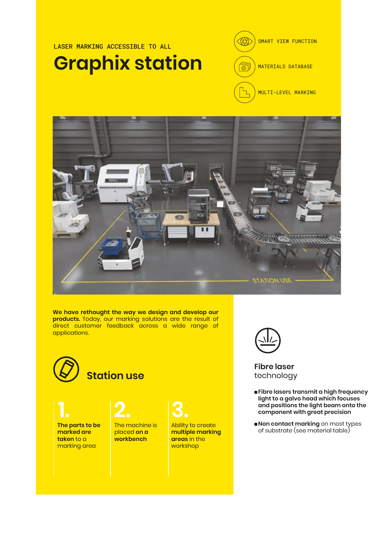#### LASER MARKING ACCESSIBLE TO ALL **Graphix station**





**We have rethought the way we design and develop our products.** Today, our marking solutions are the result of direct customer feedback across a wide range of applications.



**marked are taken** to a marking area

#### The machine is **1. 2. 3.**

placed **on a workbench**

Ability to create **multiple marking areas** in the workshop



**Fibre laser** technology

- **Fibre lasers transmit a high frequency light to a galvo head which focuses and positions the light beam onto the component with great precision**
- **Non contact marking** on most types **of the parts to be The machine is a positive to create The parts to be a property of substrate (see material table)**<br> **Construction of substrate (see material table)**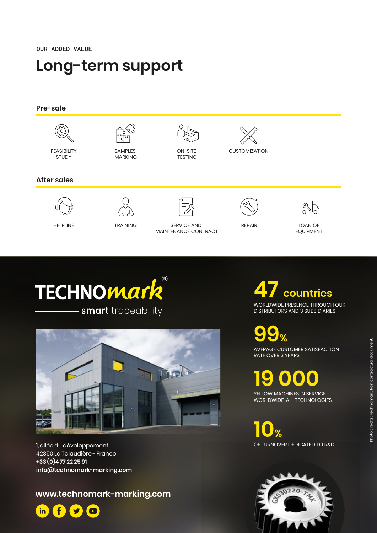OUR ADDED VALUE

### **Long-term support**







1, allée du développement 42350 La Talaudière - France **+33 (0)477 22 2591 info@technomark-marking.com**

**www.technomark-marking.com**



## **47 countries**

WORLDWIDE PRESENCE THROUGH OUR DISTRIBUTORS AND 3 SUBSIDIARIES

**99%**<br>
AVERAGE CUSTOMER SATISFACTION RATE OVER 3 YEARS

**19 0000**<br>YELLOW MACHINES IN SERVICE

WORLDWIDE, ALL TECHNOLOGIES

**10 %**<br>OF TURNOVER DEDICATED TO R&D

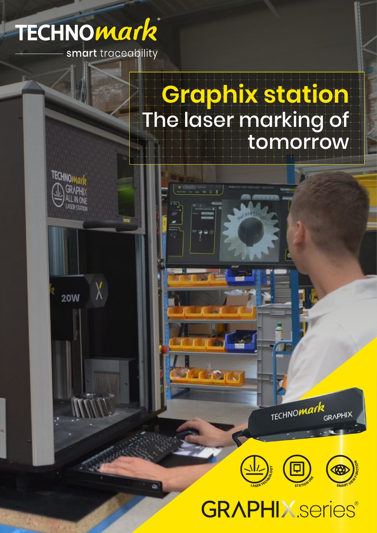

smart traceability

# **Graphix station** The laser marking of tomorrow

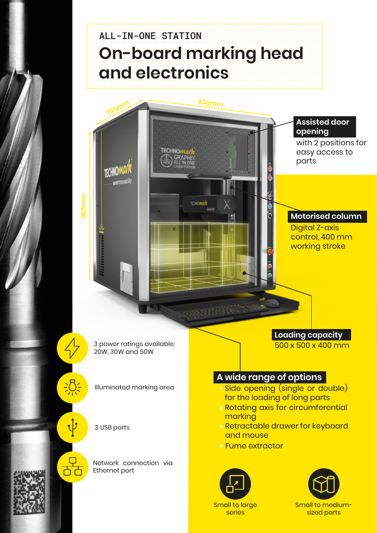### ALL-IN-ONE STATION **On-board marking head and electronics**



**Fume extractor** 



Network connection via

Ethernet port

╒┪┎┶

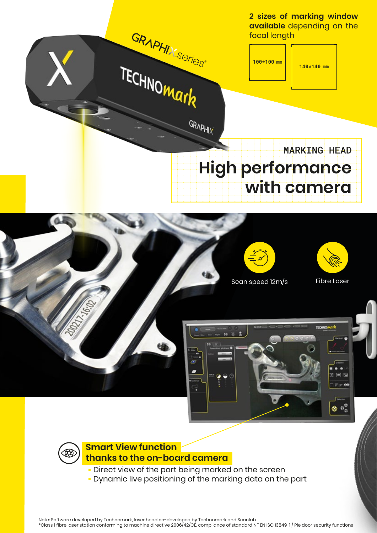

Note: Software developed by Technomark, laser head co-developed by Technomark and Scanlab \*Class 1 fibre laser station conforming to machine directive 2006/42/CE, compliance of standard NF EN ISO 13849-1 / Ple door security functions